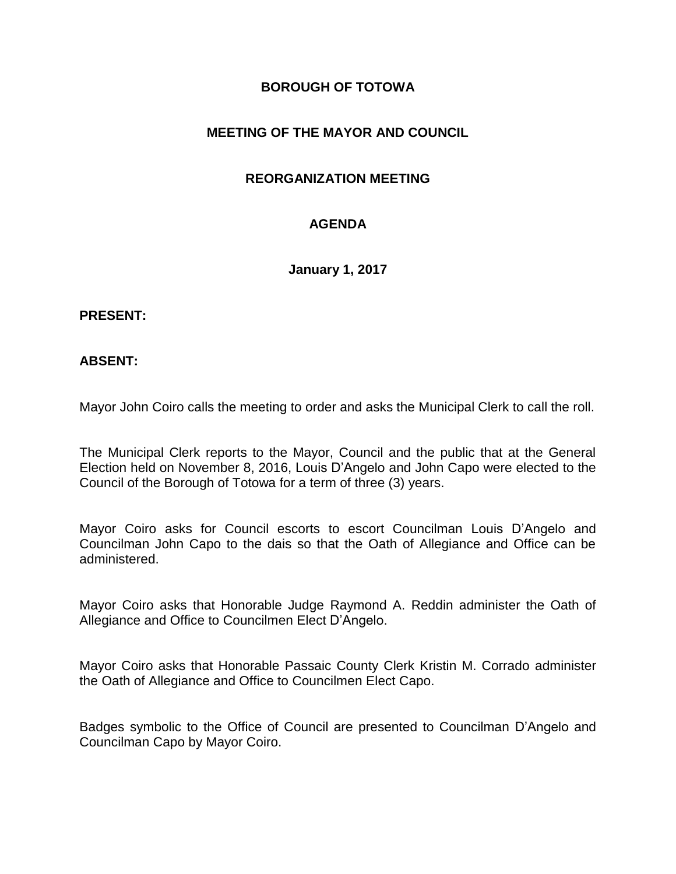## **BOROUGH OF TOTOWA**

# **MEETING OF THE MAYOR AND COUNCIL**

### **REORGANIZATION MEETING**

# **AGENDA**

**January 1, 2017**

#### **PRESENT:**

#### **ABSENT:**

Mayor John Coiro calls the meeting to order and asks the Municipal Clerk to call the roll.

The Municipal Clerk reports to the Mayor, Council and the public that at the General Election held on November 8, 2016, Louis D'Angelo and John Capo were elected to the Council of the Borough of Totowa for a term of three (3) years.

Mayor Coiro asks for Council escorts to escort Councilman Louis D'Angelo and Councilman John Capo to the dais so that the Oath of Allegiance and Office can be administered.

Mayor Coiro asks that Honorable Judge Raymond A. Reddin administer the Oath of Allegiance and Office to Councilmen Elect D'Angelo.

Mayor Coiro asks that Honorable Passaic County Clerk Kristin M. Corrado administer the Oath of Allegiance and Office to Councilmen Elect Capo.

Badges symbolic to the Office of Council are presented to Councilman D'Angelo and Councilman Capo by Mayor Coiro.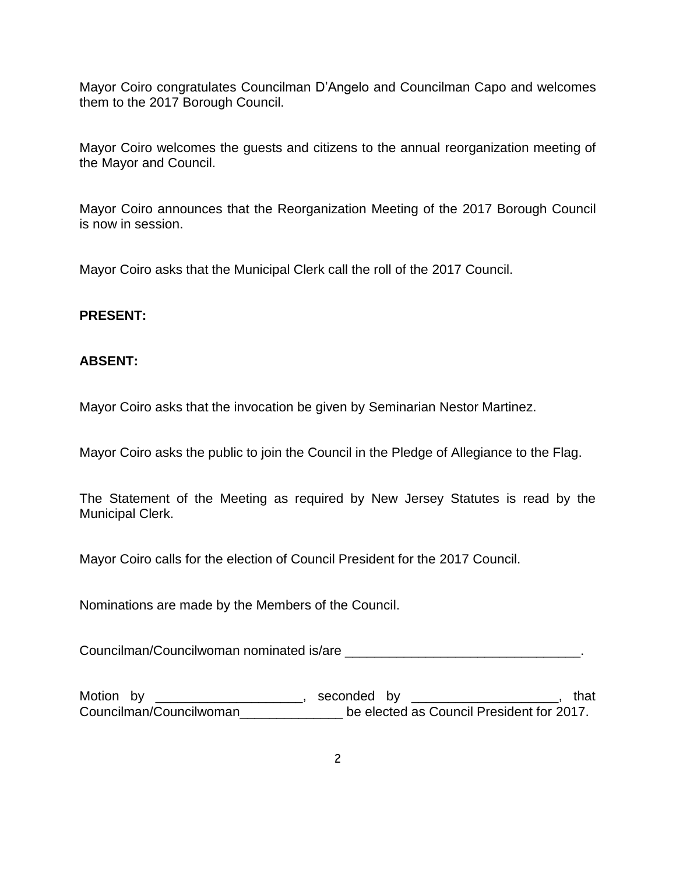Mayor Coiro congratulates Councilman D'Angelo and Councilman Capo and welcomes them to the 2017 Borough Council.

Mayor Coiro welcomes the guests and citizens to the annual reorganization meeting of the Mayor and Council.

Mayor Coiro announces that the Reorganization Meeting of the 2017 Borough Council is now in session.

Mayor Coiro asks that the Municipal Clerk call the roll of the 2017 Council.

## **PRESENT:**

## **ABSENT:**

Mayor Coiro asks that the invocation be given by Seminarian Nestor Martinez.

Mayor Coiro asks the public to join the Council in the Pledge of Allegiance to the Flag.

The Statement of the Meeting as required by New Jersey Statutes is read by the Municipal Clerk.

Mayor Coiro calls for the election of Council President for the 2017 Council.

Nominations are made by the Members of the Council.

Councilman/Councilwoman nominated is/are \_\_\_\_\_\_\_\_\_\_\_\_\_\_\_\_\_\_\_\_\_\_\_\_\_\_\_\_\_\_\_\_.

Motion by \_\_\_\_\_\_\_\_\_\_\_\_\_\_\_\_\_\_\_\_\_, seconded by \_\_\_\_\_\_\_\_\_\_\_\_\_\_\_\_\_\_\_\_\_\_, that Councilman/Councilwoman\_\_\_\_\_\_\_\_\_\_\_\_\_\_ be elected as Council President for 2017.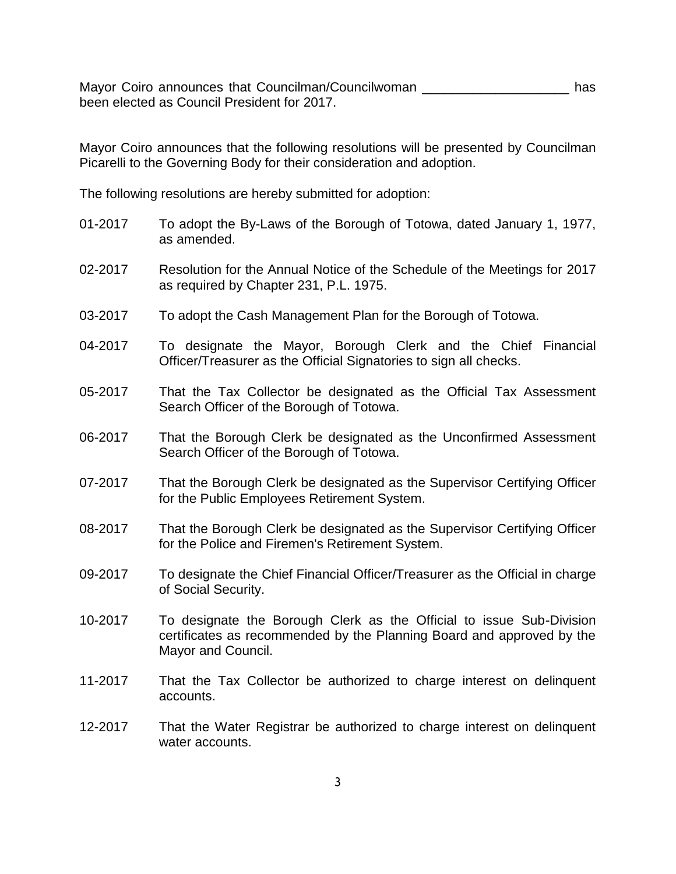Mayor Coiro announces that Councilman/Councilwoman \_\_\_\_\_\_\_\_\_\_\_\_\_\_\_\_\_\_\_\_\_\_\_\_\_\_ has been elected as Council President for 2017.

Mayor Coiro announces that the following resolutions will be presented by Councilman Picarelli to the Governing Body for their consideration and adoption.

The following resolutions are hereby submitted for adoption:

- 01-2017 To adopt the By-Laws of the Borough of Totowa, dated January 1, 1977, as amended.
- 02-2017 Resolution for the Annual Notice of the Schedule of the Meetings for 2017 as required by Chapter 231, P.L. 1975.
- 03-2017 To adopt the Cash Management Plan for the Borough of Totowa.
- 04-2017 To designate the Mayor, Borough Clerk and the Chief Financial Officer/Treasurer as the Official Signatories to sign all checks.
- 05-2017 That the Tax Collector be designated as the Official Tax Assessment Search Officer of the Borough of Totowa.
- 06-2017 That the Borough Clerk be designated as the Unconfirmed Assessment Search Officer of the Borough of Totowa.
- 07-2017 That the Borough Clerk be designated as the Supervisor Certifying Officer for the Public Employees Retirement System.
- 08-2017 That the Borough Clerk be designated as the Supervisor Certifying Officer for the Police and Firemen's Retirement System.
- 09-2017 To designate the Chief Financial Officer/Treasurer as the Official in charge of Social Security.
- 10-2017 To designate the Borough Clerk as the Official to issue Sub-Division certificates as recommended by the Planning Board and approved by the Mayor and Council.
- 11-2017 That the Tax Collector be authorized to charge interest on delinquent accounts.
- 12-2017 That the Water Registrar be authorized to charge interest on delinquent water accounts.